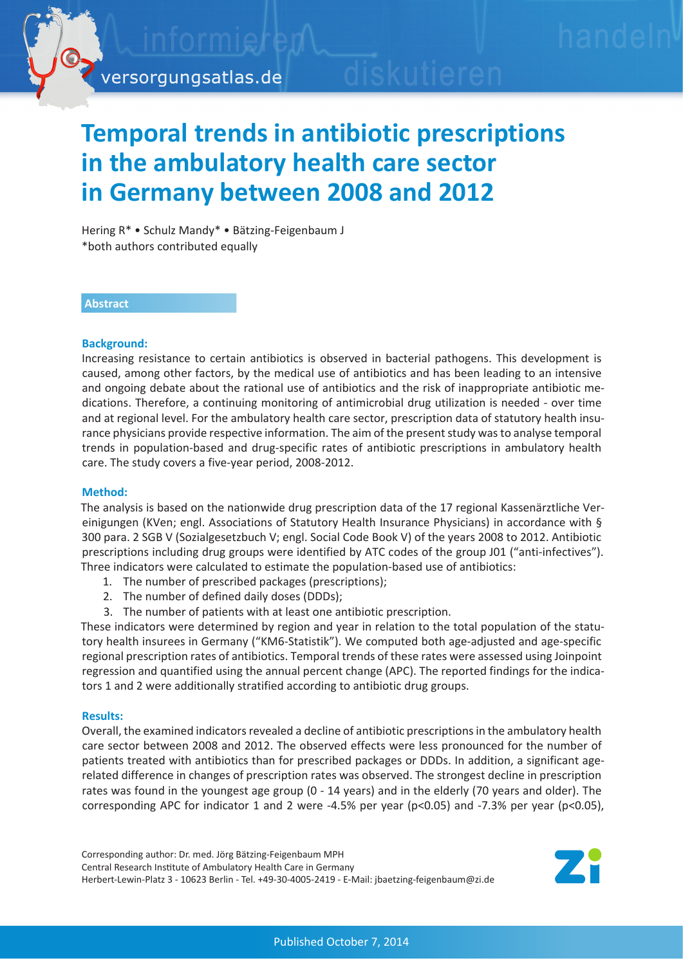# **Temporal trends in antibiotic prescriptions in the ambulatory health care sector in Germany between 2008 and 2012**

Hering R\* • Schulz Mandy\* • Bätzing-Feigenbaum J \*both authors contributed equally

## **Abstract**

### **Background:**

Increasing resistance to certain antibiotics is observed in bacterial pathogens. This development is caused, among other factors, by the medical use of antibiotics and has been leading to an intensive and ongoing debate about the rational use of antibiotics and the risk of inappropriate antibiotic medications. Therefore, a continuing monitoring of antimicrobial drug utilization is needed - over time and at regional level. For the ambulatory health care sector, prescription data of statutory health insurance physicians provide respective information. The aim of the present study was to analyse temporal trends in population-based and drug-specific rates of antibiotic prescriptions in ambulatory health care. The study covers a five-year period, 2008-2012.

### **Method:**

The analysis is based on the nationwide drug prescription data of the 17 regional Kassenärztliche Vereinigungen (KVen; engl. Associations of Statutory Health Insurance Physicians) in accordance with § 300 para. 2 SGB V (Sozialgesetzbuch V; engl. Social Code Book V) of the years 2008 to 2012. Antibiotic prescriptions including drug groups were identified by ATC codes of the group J01 ("anti-infectives"). Three indicators were calculated to estimate the population-based use of antibiotics:

- 1. The number of prescribed packages (prescriptions);
- 2. The number of defined daily doses (DDDs);
- 3. The number of patients with at least one antibiotic prescription.

These indicators were determined by region and year in relation to the total population of the statutory health insurees in Germany ("KM6-Statistik"). We computed both age-adjusted and age-specific regional prescription rates of antibiotics. Temporal trends of these rates were assessed using Joinpoint regression and quantified using the annual percent change (APC). The reported findings for the indicators 1 and 2 were additionally stratified according to antibiotic drug groups.

### **Results:**

Overall, the examined indicators revealed a decline of antibiotic prescriptions in the ambulatory health care sector between 2008 and 2012. The observed effects were less pronounced for the number of patients treated with antibiotics than for prescribed packages or DDDs. In addition, a significant agerelated difference in changes of prescription rates was observed. The strongest decline in prescription rates was found in the youngest age group (0 - 14 years) and in the elderly (70 years and older). The corresponding APC for indicator 1 and 2 were -4.5% per year (p<0.05) and -7.3% per year (p<0.05),

Corresponding author: Dr. med. Jörg Bätzing-Feigenbaum MPH Central Research Institute of Ambulatory Health Care in Germany Herbert-Lewin-Platz 3 - 10623 Berlin - Tel. +49-30-4005-2419 - E-Mail: jbaetzing-feigenbaum@zi.de